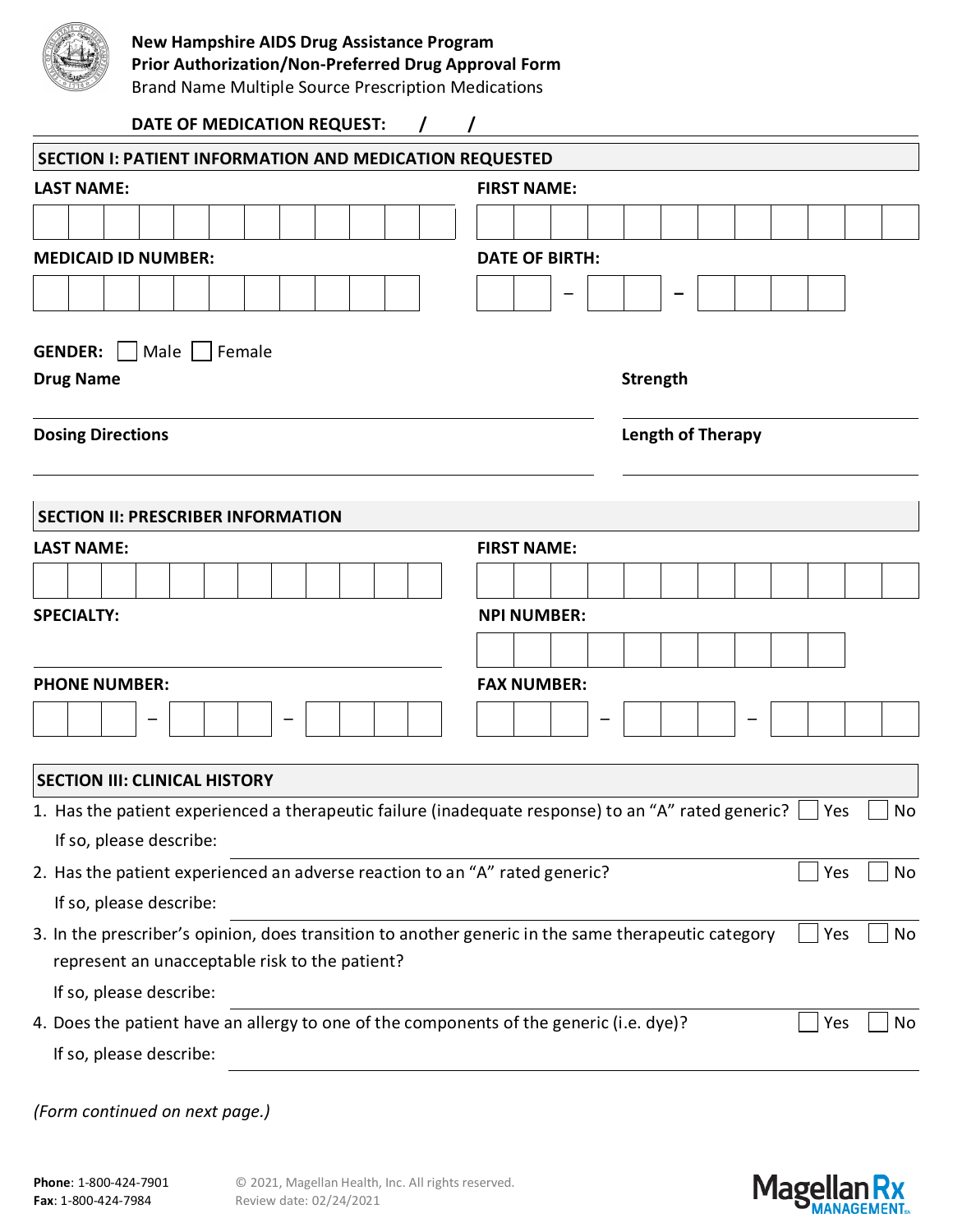

## **New Hampshire AIDS Drug Assistance Program**

**Prior Authorization/Non-Preferred Drug Approval Form**

Brand Name Multiple Source Prescription Medications

| DATE OF MEDICATION REQUEST:                                                                                    |                          |                 |  |  |  |     |           |
|----------------------------------------------------------------------------------------------------------------|--------------------------|-----------------|--|--|--|-----|-----------|
| <b>SECTION I: PATIENT INFORMATION AND MEDICATION REQUESTED</b>                                                 |                          |                 |  |  |  |     |           |
| <b>LAST NAME:</b>                                                                                              | <b>FIRST NAME:</b>       |                 |  |  |  |     |           |
|                                                                                                                |                          |                 |  |  |  |     |           |
| <b>MEDICAID ID NUMBER:</b>                                                                                     | <b>DATE OF BIRTH:</b>    |                 |  |  |  |     |           |
|                                                                                                                |                          |                 |  |  |  |     |           |
|                                                                                                                |                          |                 |  |  |  |     |           |
| <b>GENDER:</b><br>Male   Female                                                                                |                          |                 |  |  |  |     |           |
| <b>Drug Name</b>                                                                                               |                          | <b>Strength</b> |  |  |  |     |           |
| <b>Dosing Directions</b>                                                                                       | <b>Length of Therapy</b> |                 |  |  |  |     |           |
|                                                                                                                |                          |                 |  |  |  |     |           |
| <b>SECTION II: PRESCRIBER INFORMATION</b>                                                                      |                          |                 |  |  |  |     |           |
| <b>LAST NAME:</b>                                                                                              | <b>FIRST NAME:</b>       |                 |  |  |  |     |           |
|                                                                                                                |                          |                 |  |  |  |     |           |
| <b>SPECIALTY:</b>                                                                                              |                          |                 |  |  |  |     |           |
|                                                                                                                | <b>NPI NUMBER:</b>       |                 |  |  |  |     |           |
|                                                                                                                |                          |                 |  |  |  |     |           |
| <b>PHONE NUMBER:</b>                                                                                           | <b>FAX NUMBER:</b>       |                 |  |  |  |     |           |
|                                                                                                                |                          |                 |  |  |  |     |           |
|                                                                                                                |                          |                 |  |  |  |     |           |
| <b>SECTION III: CLINICAL HISTORY</b>                                                                           |                          |                 |  |  |  |     |           |
| 1. Has the patient experienced a therapeutic failure (inadequate response) to an "A" rated generic? $\Box$ Yes |                          |                 |  |  |  |     | $\Box$ No |
| If so, please describe:                                                                                        |                          |                 |  |  |  |     |           |
| 2. Has the patient experienced an adverse reaction to an "A" rated generic?                                    |                          |                 |  |  |  | Yes | No        |
| If so, please describe:                                                                                        |                          |                 |  |  |  |     |           |
| 3. In the prescriber's opinion, does transition to another generic in the same therapeutic category            |                          |                 |  |  |  | Yes | No        |
| represent an unacceptable risk to the patient?                                                                 |                          |                 |  |  |  |     |           |
| If so, please describe:                                                                                        |                          |                 |  |  |  |     |           |
| 4. Does the patient have an allergy to one of the components of the generic (i.e. dye)?                        |                          |                 |  |  |  | Yes | No        |
| If so, please describe:                                                                                        |                          |                 |  |  |  |     |           |
|                                                                                                                |                          |                 |  |  |  |     |           |

*(Form continued on next page.)*